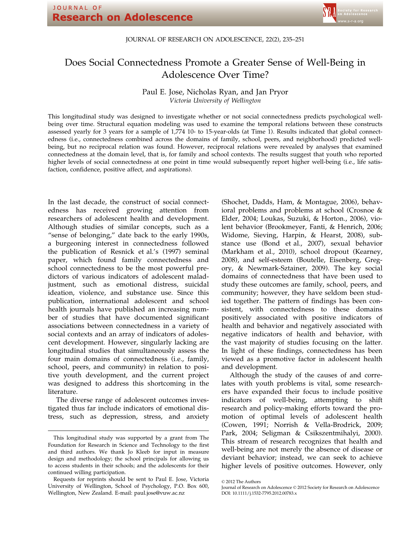#### JOURNAL OF RESEARCH ON ADOLESCENCE, 22(2), 235–251

# Does Social Connectedness Promote a Greater Sense of Well-Being in Adolescence Over Time?

## Paul E. Jose, Nicholas Ryan, and Jan Pryor Victoria University of Wellington

This longitudinal study was designed to investigate whether or not social connectedness predicts psychological wellbeing over time. Structural equation modeling was used to examine the temporal relations between these constructs assessed yearly for 3 years for a sample of 1,774 10- to 15-year-olds (at Time 1). Results indicated that global connectedness (i.e., connectedness combined across the domains of family, school, peers, and neighborhood) predicted wellbeing, but no reciprocal relation was found. However, reciprocal relations were revealed by analyses that examined connectedness at the domain level, that is, for family and school contexts. The results suggest that youth who reported higher levels of social connectedness at one point in time would subsequently report higher well-being (i.e., life satisfaction, confidence, positive affect, and aspirations).

In the last decade, the construct of social connectedness has received growing attention from researchers of adolescent health and development. Although studies of similar concepts, such as a "sense of belonging," date back to the early 1990s, a burgeoning interest in connectedness followed the publication of Resnick et al.'s (1997) seminal paper, which found family connectedness and school connectedness to be the most powerful predictors of various indicators of adolescent maladjustment, such as emotional distress, suicidal ideation, violence, and substance use. Since this publication, international adolescent and school health journals have published an increasing number of studies that have documented significant associations between connectedness in a variety of social contexts and an array of indicators of adolescent development. However, singularly lacking are longitudinal studies that simultaneously assess the four main domains of connectedness (i.e., family, school, peers, and community) in relation to positive youth development, and the current project was designed to address this shortcoming in the literature.

The diverse range of adolescent outcomes investigated thus far include indicators of emotional distress, such as depression, stress, and anxiety

(Shochet, Dadds, Ham, & Montague, 2006), behavioral problems and problems at school (Crosnoe & Elder, 2004; Loukas, Suzuki, & Horton., 2006), violent behavior (Brookmeyer, Fanti, & Henrich, 2006; Widome, Sieving, Harpin, & Hearst, 2008), substance use (Bond et al., 2007), sexual behavior (Markham et al., 2010), school dropout (Kearney, 2008), and self-esteem (Boutelle, Eisenberg, Gregory, & Newmark-Sztainer, 2009). The key social domains of connectedness that have been used to study these outcomes are family, school, peers, and community; however, they have seldom been studied together. The pattern of findings has been consistent, with connectedness to these domains positively associated with positive indicators of health and behavior and negatively associated with negative indicators of health and behavior, with the vast majority of studies focusing on the latter. In light of these findings, connectedness has been viewed as a promotive factor in adolescent health and development.

Although the study of the causes of and correlates with youth problems is vital, some researchers have expanded their focus to include positive indicators of well-being, attempting to shift research and policy-making efforts toward the promotion of optimal levels of adolescent health (Cowen, 1991; Norrish & Vella-Brodrick, 2009; Park, 2004; Seligman & Csikszentmihalyi, 2000). This stream of research recognizes that health and well-being are not merely the absence of disease or deviant behavior; instead, we can seek to achieve higher levels of positive outcomes. However, only

This longitudinal study was supported by a grant from The Foundation for Research in Science and Technology to the first and third authors. We thank Jo Kleeb for input in measure design and methodology; the school principals for allowing us to access students in their schools; and the adolescents for their continued willing participation.

Requests for reprints should be sent to Paul E. Jose, Victoria University of Wellington, School of Psychology, P.O. Box 600, Wellington, New Zealand. E-mail: paul.jose@vuw.ac.nz

<sup>©</sup> 2012 The Authors

Journal of Research on Adolescence © 2012 Society for Research on Adolescence DOI: 10.1111/j.1532-7795.2012.00783.x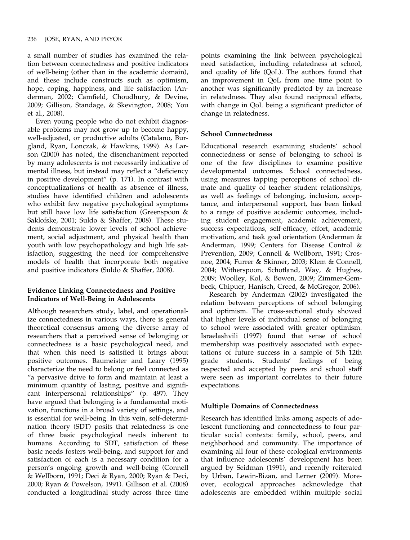a small number of studies has examined the relation between connectedness and positive indicators of well-being (other than in the academic domain), and these include constructs such as optimism, hope, coping, happiness, and life satisfaction (Anderman, 2002; Camfield, Choudhury, & Devine, 2009; Gillison, Standage, & Skevington, 2008; You et al., 2008).

Even young people who do not exhibit diagnosable problems may not grow up to become happy, well-adjusted, or productive adults (Catalano, Burgland, Ryan, Lonczak, & Hawkins, 1999). As Larson (2000) has noted, the disenchantment reported by many adolescents is not necessarily indicative of mental illness, but instead may reflect a "deficiency in positive development" (p. 171). In contrast with conceptualizations of health as absence of illness, studies have identified children and adolescents who exhibit few negative psychological symptoms but still have low life satisfaction (Greenspoon & Saklofske, 2001; Suldo & Shaffer, 2008). These students demonstrate lower levels of school achievement, social adjustment, and physical health than youth with low psychopathology and high life satisfaction, suggesting the need for comprehensive models of health that incorporate both negative and positive indicators (Suldo & Shaffer, 2008).

# Evidence Linking Connectedness and Positive Indicators of Well-Being in Adolescents

Although researchers study, label, and operationalize connectedness in various ways, there is general theoretical consensus among the diverse array of researchers that a perceived sense of belonging or connectedness is a basic psychological need, and that when this need is satisfied it brings about positive outcomes. Baumeister and Leary (1995) characterize the need to belong or feel connected as "a pervasive drive to form and maintain at least a minimum quantity of lasting, positive and significant interpersonal relationships" (p. 497). They have argued that belonging is a fundamental motivation, functions in a broad variety of settings, and is essential for well-being. In this vein, self-determination theory (SDT) posits that relatedness is one of three basic psychological needs inherent to humans. According to SDT, satisfaction of these basic needs fosters well-being, and support for and satisfaction of each is a necessary condition for a person's ongoing growth and well-being (Connell & Wellborn, 1991; Deci & Ryan, 2000; Ryan & Deci, 2000; Ryan & Powelson, 1991). Gillison et al. (2008) conducted a longitudinal study across three time

points examining the link between psychological need satisfaction, including relatedness at school, and quality of life (QoL). The authors found that an improvement in QoL from one time point to another was significantly predicted by an increase in relatedness. They also found reciprocal effects, with change in QoL being a significant predictor of change in relatedness.

# School Connectedness

Educational research examining students' school connectedness or sense of belonging to school is one of the few disciplines to examine positive developmental outcomes. School connectedness, using measures tapping perceptions of school climate and quality of teacher–student relationships, as well as feelings of belonging, inclusion, acceptance, and interpersonal support, has been linked to a range of positive academic outcomes, including student engagement, academic achievement, success expectations, self-efficacy, effort, academic motivation, and task goal orientation (Anderman & Anderman, 1999; Centers for Disease Control & Prevention, 2009; Connell & Wellborn, 1991; Crosnoe, 2004; Furrer & Skinner, 2003; Klem & Connell, 2004; Witherspoon, Schotland, Way, & Hughes, 2009; Woolley, Kol, & Bowen, 2009; Zimmer-Gembeck, Chipuer, Hanisch, Creed, & McGregor, 2006).

Research by Anderman (2002) investigated the relation between perceptions of school belonging and optimism. The cross-sectional study showed that higher levels of individual sense of belonging to school were associated with greater optimism. Israelashvili (1997) found that sense of school membership was positively associated with expectations of future success in a sample of 5th–12th grade students. Students' feelings of being respected and accepted by peers and school staff were seen as important correlates to their future expectations.

## Multiple Domains of Connectedness

Research has identified links among aspects of adolescent functioning and connectedness to four particular social contexts: family, school, peers, and neighborhood and community. The importance of examining all four of these ecological environments that influence adolescents' development has been argued by Seidman (1991), and recently reiterated by Urban, Lewin-Bizan, and Lerner (2009). Moreover, ecological approaches acknowledge that adolescents are embedded within multiple social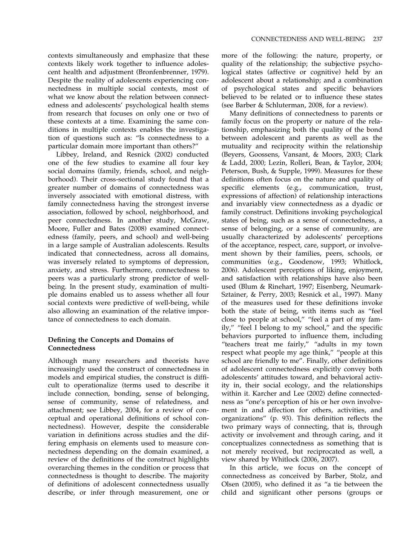contexts simultaneously and emphasize that these contexts likely work together to influence adolescent health and adjustment (Bronfenbrenner, 1979). Despite the reality of adolescents experiencing connectedness in multiple social contexts, most of what we know about the relation between connectedness and adolescents' psychological health stems from research that focuses on only one or two of these contexts at a time. Examining the same conditions in multiple contexts enables the investigation of questions such as: "Is connectedness to a particular domain more important than others?"

Libbey, Ireland, and Resnick (2002) conducted one of the few studies to examine all four key social domains (family, friends, school, and neighborhood). Their cross-sectional study found that a greater number of domains of connectedness was inversely associated with emotional distress, with family connectedness having the strongest inverse association, followed by school, neighborhood, and peer connectedness. In another study, McGraw, Moore, Fuller and Bates (2008) examined connectedness (family, peers, and school) and well-being in a large sample of Australian adolescents. Results indicated that connectedness, across all domains, was inversely related to symptoms of depression, anxiety, and stress. Furthermore, connectedness to peers was a particularly strong predictor of wellbeing. In the present study, examination of multiple domains enabled us to assess whether all four social contexts were predictive of well-being, while also allowing an examination of the relative importance of connectedness to each domain.

## Defining the Concepts and Domains of Connectedness

Although many researchers and theorists have increasingly used the construct of connectedness in models and empirical studies, the construct is difficult to operationalize (terms used to describe it include connection, bonding, sense of belonging, sense of community, sense of relatedness, and attachment; see Libbey, 2004, for a review of conceptual and operational definitions of school connectedness). However, despite the considerable variation in definitions across studies and the differing emphasis on elements used to measure connectedness depending on the domain examined, a review of the definitions of the construct highlights overarching themes in the condition or process that connectedness is thought to describe. The majority of definitions of adolescent connectedness usually describe, or infer through measurement, one or

more of the following: the nature, property, or quality of the relationship; the subjective psychological states (affective or cognitive) held by an adolescent about a relationship; and a combination of psychological states and specific behaviors believed to be related or to influence these states (see Barber & Schluterman, 2008, for a review).

Many definitions of connectedness to parents or family focus on the property or nature of the relationship, emphasizing both the quality of the bond between adolescent and parents as well as the mutuality and reciprocity within the relationship (Beyers, Goossens, Vansant, & Moors, 2003; Clark & Ladd, 2000; Lezin, Rolleri, Bean, & Taylor, 2004; Peterson, Bush, & Supple, 1999). Measures for these definitions often focus on the nature and quality of specific elements (e.g., communication, trust, expressions of affection) of relationship interactions and invariably view connectedness as a dyadic or family construct. Definitions invoking psychological states of being, such as a sense of connectedness, a sense of belonging, or a sense of community, are usually characterized by adolescents' perceptions of the acceptance, respect, care, support, or involvement shown by their families, peers, schools, or communities (e.g., Goodenow, 1993; Whitlock, 2006). Adolescent perceptions of liking, enjoyment, and satisfaction with relationships have also been used (Blum & Rinehart, 1997; Eisenberg, Neumark-Sztainer, & Perry, 2003; Resnick et al., 1997). Many of the measures used for these definitions invoke both the state of being, with items such as "feel close to people at school," "feel a part of my family," "feel I belong to my school," and the specific behaviors purported to influence them, including "teachers treat me fairly," "adults in my town respect what people my age think," "people at this school are friendly to me". Finally, other definitions of adolescent connectedness explicitly convey both adolescents' attitudes toward, and behavioral activity in, their social ecology, and the relationships within it. Karcher and Lee (2002) define connectedness as "one's perception of his or her own involvement in and affection for others, activities, and organizations" (p. 93). This definition reflects the two primary ways of connecting, that is, through activity or involvement and through caring, and it conceptualizes connectedness as something that is not merely received, but reciprocated as well, a view shared by Whitlock (2006, 2007).

In this article, we focus on the concept of connectedness as conceived by Barber, Stolz, and Olsen (2005), who defined it as "a tie between the child and significant other persons (groups or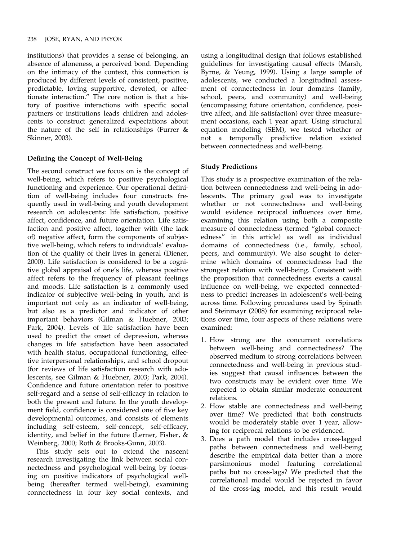institutions) that provides a sense of belonging, an absence of aloneness, a perceived bond. Depending on the intimacy of the context, this connection is produced by different levels of consistent, positive, predictable, loving supportive, devoted, or affectionate interaction." The core notion is that a history of positive interactions with specific social partners or institutions leads children and adolescents to construct generalized expectations about the nature of the self in relationships (Furrer  $\&$ Skinner, 2003).

# Defining the Concept of Well-Being

The second construct we focus on is the concept of well-being, which refers to positive psychological functioning and experience. Our operational definition of well-being includes four constructs frequently used in well-being and youth development research on adolescents: life satisfaction, positive affect, confidence, and future orientation. Life satisfaction and positive affect, together with (the lack of) negative affect, form the components of subjective well-being, which refers to individuals' evaluation of the quality of their lives in general (Diener, 2000). Life satisfaction is considered to be a cognitive global appraisal of one's life, whereas positive affect refers to the frequency of pleasant feelings and moods. Life satisfaction is a commonly used indicator of subjective well-being in youth, and is important not only as an indicator of well-being, but also as a predictor and indicator of other important behaviors (Gilman & Huebner, 2003; Park, 2004). Levels of life satisfaction have been used to predict the onset of depression, whereas changes in life satisfaction have been associated with health status, occupational functioning, effective interpersonal relationships, and school dropout (for reviews of life satisfaction research with adolescents, see Gilman & Huebner, 2003; Park, 2004). Confidence and future orientation refer to positive self-regard and a sense of self-efficacy in relation to both the present and future. In the youth development field, confidence is considered one of five key developmental outcomes, and consists of elements including self-esteem, self-concept, self-efficacy, identity, and belief in the future (Lerner, Fisher, & Weinberg, 2000; Roth & Brooks-Gunn, 2003).

This study sets out to extend the nascent research investigating the link between social connectedness and psychological well-being by focusing on positive indicators of psychological wellbeing (hereafter termed well-being), examining connectedness in four key social contexts, and

using a longitudinal design that follows established guidelines for investigating causal effects (Marsh, Byrne, & Yeung, 1999). Using a large sample of adolescents, we conducted a longitudinal assessment of connectedness in four domains (family, school, peers, and community) and well-being (encompassing future orientation, confidence, positive affect, and life satisfaction) over three measurement occasions, each 1 year apart. Using structural equation modeling (SEM), we tested whether or not a temporally predictive relation existed between connectedness and well-being.

## Study Predictions

This study is a prospective examination of the relation between connectedness and well-being in adolescents. The primary goal was to investigate whether or not connectedness and well-being would evidence reciprocal influences over time, examining this relation using both a composite measure of connectedness (termed "global connectedness" in this article) as well as individual domains of connectedness (i.e., family, school, peers, and community). We also sought to determine which domains of connectedness had the strongest relation with well-being. Consistent with the proposition that connectedness exerts a causal influence on well-being, we expected connectedness to predict increases in adolescent's well-being across time. Following procedures used by Spinath and Steinmayr (2008) for examining reciprocal relations over time, four aspects of these relations were examined:

- 1. How strong are the concurrent correlations between well-being and connectedness? The observed medium to strong correlations between connectedness and well-being in previous studies suggest that causal influences between the two constructs may be evident over time. We expected to obtain similar moderate concurrent relations.
- 2. How stable are connectedness and well-being over time? We predicted that both constructs would be moderately stable over 1 year, allowing for reciprocal relations to be evidenced.
- 3. Does a path model that includes cross-lagged paths between connectedness and well-being describe the empirical data better than a more parsimonious model featuring correlational paths but no cross-lags? We predicted that the correlational model would be rejected in favor of the cross-lag model, and this result would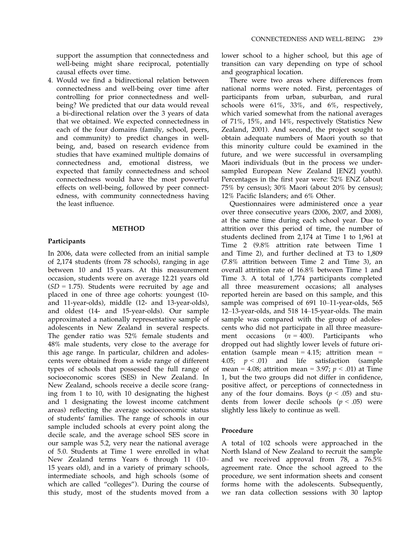support the assumption that connectedness and well-being might share reciprocal, potentially causal effects over time.

4. Would we find a bidirectional relation between connectedness and well-being over time after controlling for prior connectedness and wellbeing? We predicted that our data would reveal a bi-directional relation over the 3 years of data that we obtained. We expected connectedness in each of the four domains (family, school, peers, and community) to predict changes in wellbeing, and, based on research evidence from studies that have examined multiple domains of connectedness and, emotional distress, we expected that family connectedness and school connectedness would have the most powerful effects on well-being, followed by peer connectedness, with community connectedness having the least influence.

#### METHOD

## Participants

In 2006, data were collected from an initial sample of 2,174 students (from 78 schools), ranging in age between 10 and 15 years. At this measurement occasion, students were on average 12.21 years old  $(SD = 1.75)$ . Students were recruited by age and placed in one of three age cohorts: youngest (10 and 11-year-olds), middle (12- and 13-year-olds), and oldest (14- and 15-year-olds). Our sample approximated a nationally representative sample of adolescents in New Zealand in several respects. The gender ratio was 52% female students and 48% male students, very close to the average for this age range. In particular, children and adolescents were obtained from a wide range of different types of schools that possessed the full range of socioeconomic scores (SES) in New Zealand. In New Zealand, schools receive a decile score (ranging from 1 to 10, with 10 designating the highest and 1 designating the lowest income catchment areas) reflecting the average socioeconomic status of students' families. The range of schools in our sample included schools at every point along the decile scale, and the average school SES score in our sample was 5.2, very near the national average of 5.0. Students at Time 1 were enrolled in what New Zealand terms Years 6 through 11 (10– 15 years old), and in a variety of primary schools, intermediate schools, and high schools (some of which are called "colleges"). During the course of this study, most of the students moved from a

lower school to a higher school, but this age of transition can vary depending on type of school and geographical location.

There were two areas where differences from national norms were noted. First, percentages of participants from urban, suburban, and rural schools were 61%, 33%, and 6%, respectively, which varied somewhat from the national averages of 71%, 15%, and 14%, respectively (Statistics New Zealand, 2001). And second, the project sought to obtain adequate numbers of Maori youth so that this minority culture could be examined in the future, and we were successful in oversampling Maori individuals (but in the process we undersampled European New Zealand [ENZ] youth). Percentages in the first year were: 52% ENZ (about 75% by census); 30% Maori (about 20% by census); 12% Pacific Islanders; and 6% Other.

Questionnaires were administered once a year over three consecutive years (2006, 2007, and 2008), at the same time during each school year. Due to attrition over this period of time, the number of students declined from 2,174 at Time 1 to 1,961 at Time 2 (9.8% attrition rate between Time 1 and Time 2), and further declined at T3 to 1,809 (7.8% attrition between Time 2 and Time 3), an overall attrition rate of 16.8% between Time 1 and Time 3. A total of 1,774 participants completed all three measurement occasions; all analyses reported herein are based on this sample, and this sample was comprised of 691 10–11-year-olds, 565 12–13-year-olds, and 518 14–15-year-olds. The main sample was compared with the group of adolescents who did not participate in all three measurement occasions  $(n = 400)$ . Participants who dropped out had slightly lower levels of future orientation (sample mean =  $4.15$ ; attrition mean = 4.05;  $p < .01$ ) and life satisfaction (sample mean = 4.08; attrition mean = 3.97;  $p < .01$ ) at Time 1, but the two groups did not differ in confidence, positive affect, or perceptions of connectedness in any of the four domains. Boys ( $p < .05$ ) and students from lower decile schools  $(p < .05)$  were slightly less likely to continue as well.

#### Procedure

A total of 102 schools were approached in the North Island of New Zealand to recruit the sample and we received approval from 78, a 76.5% agreement rate. Once the school agreed to the procedure, we sent information sheets and consent forms home with the adolescents. Subsequently, we ran data collection sessions with 30 laptop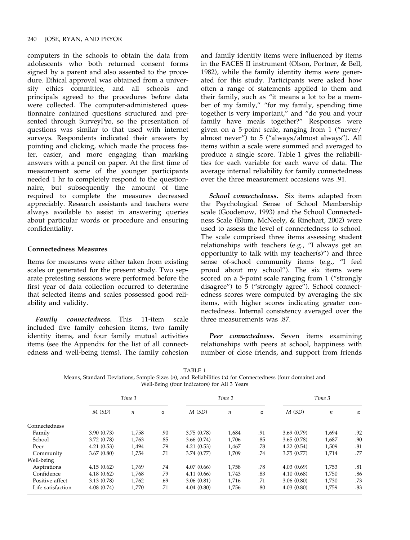computers in the schools to obtain the data from adolescents who both returned consent forms signed by a parent and also assented to the procedure. Ethical approval was obtained from a university ethics committee, and all schools and principals agreed to the procedures before data were collected. The computer-administered questionnaire contained questions structured and presented through SurveyPro, so the presentation of questions was similar to that used with internet surveys. Respondents indicated their answers by pointing and clicking, which made the process faster, easier, and more engaging than marking answers with a pencil on paper. At the first time of measurement some of the younger participants needed 1 hr to completely respond to the questionnaire, but subsequently the amount of time required to complete the measures decreased appreciably. Research assistants and teachers were always available to assist in answering queries about particular words or procedure and ensuring confidentiality.

## Connectedness Measures

Items for measures were either taken from existing scales or generated for the present study. Two separate pretesting sessions were performed before the first year of data collection occurred to determine that selected items and scales possessed good reliability and validity.

Family connectedness. This 11-item scale included five family cohesion items, two family identity items, and four family mutual activities items (see the Appendix for the list of all connectedness and well-being items). The family cohesion and family identity items were influenced by items in the FACES II instrument (Olson, Portner, & Bell, 1982), while the family identity items were generated for this study. Participants were asked how often a range of statements applied to them and their family, such as "it means a lot to be a member of my family," "for my family, spending time together is very important," and "do you and your family have meals together?" Responses were given on a 5-point scale, ranging from 1 ("never/ almost never") to 5 ("always/almost always"). All items within a scale were summed and averaged to produce a single score. Table 1 gives the reliabilities for each variable for each wave of data. The average internal reliability for family connectedness over the three measurement occasions was .91.

School connectedness. Six items adapted from the Psychological Sense of School Membership scale (Goodenow, 1993) and the School Connectedness Scale (Blum, McNeely, & Rinehart, 2002) were used to assess the level of connectedness to school. The scale comprised three items assessing student relationships with teachers (e.g., "I always get an opportunity to talk with my teacher(s)") and three sense of-school community items (e.g., "I feel proud about my school"). The six items were scored on a 5-point scale ranging from 1 ("strongly disagree") to 5 ("strongly agree"). School connectedness scores were computed by averaging the six items, with higher scores indicating greater connectedness. Internal consistency averaged over the three measurements was .87.

Peer connectedness. Seven items examining relationships with peers at school, happiness with number of close friends, and support from friends

Means, Standard Deviations, Sample Sizes  $(n)$ , and Reliabilities  $(\alpha)$  for Connectedness (four domains) and Well-Being (four indicators) for All 3 Years

|                   | Time 1      |                  |          | Time 2      |                  |          | Time 3     |                  |     |
|-------------------|-------------|------------------|----------|-------------|------------------|----------|------------|------------------|-----|
|                   | M(SD)       | $\boldsymbol{n}$ | $\alpha$ | M(SD)       | $\boldsymbol{n}$ | $\alpha$ | M(SD)      | $\boldsymbol{n}$ | α   |
| Connectedness     |             |                  |          |             |                  |          |            |                  |     |
| Family            | 3.90(0.73)  | 1,758            | .90      | 3.75(0.78)  | 1,684            | .91      | 3.69(0.79) | 1,694            | .92 |
| School            | 3.72 (0.78) | 1,763            | .85      | 3.66(0.74)  | 1,706            | .85      | 3.65(0.78) | 1,687            | .90 |
| Peer              | 4.21(0.53)  | 1,494            | .79      | 4.21(0.53)  | 1.467            | .78      | 4.22(0.54) | 1,509            | .81 |
| Community         | 3.67(0.80)  | 1,754            | .71      | 3.74 (0.77) | 1,709            | .74      | 3.75(0.77) | 1,714            | .77 |
| Well-being        |             |                  |          |             |                  |          |            |                  |     |
| Aspirations       | 4.15(0.62)  | 1.769            | .74      | 4.07(0.66)  | 1,758            | .78      | 4.03(0.69) | 1,753            | .81 |
| Confidence        | 4.18(0.62)  | 1,768            | .79      | 4.11(0.66)  | 1,743            | .83      | 4.10(0.68) | 1,750            | .86 |
| Positive affect   | 3.13(0.78)  | 1.762            | .69      | 3.06(0.81)  | 1.716            | .71      | 3.06(0.80) | 1,730            | .73 |
| Life satisfaction | 4.08(0.74)  | 1,770            | .71      | 4.04(0.80)  | 1,756            | .80      | 4.03(0.80) | 1,759            | .83 |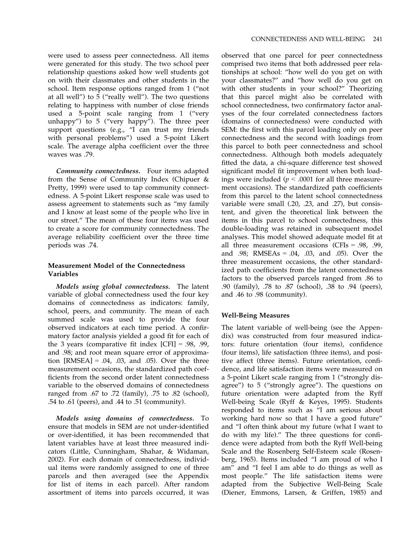were used to assess peer connectedness. All items were generated for this study. The two school peer relationship questions asked how well students got on with their classmates and other students in the school. Item response options ranged from 1 ("not at all well") to 5 ("really well"). The two questions relating to happiness with number of close friends used a 5-point scale ranging from 1 ("very unhappy") to 5 ("very happy"). The three peer support questions (e.g., "I can trust my friends with personal problems") used a 5-point Likert scale. The average alpha coefficient over the three waves was .79.

Community connectedness. Four items adapted from the Sense of Community Index (Chipuer & Pretty, 1999) were used to tap community connectedness. A 5-point Likert response scale was used to assess agreement to statements such as "my family and I know at least some of the people who live in our street." The mean of these four items was used to create a score for community connectedness. The average reliability coefficient over the three time periods was .74.

## Measurement Model of the Connectedness Variables

Models using global connectedness. The latent variable of global connectedness used the four key domains of connectedness as indicators: family, school, peers, and community. The mean of each summed scale was used to provide the four observed indicators at each time period. A confirmatory factor analysis yielded a good fit for each of the 3 years (comparative fit index  $[CFI] = .98, .99,$ and .98; and root mean square error of approximation  $[RMSEA] = .04, .03, and .05$ . Over the three measurement occasions, the standardized path coefficients from the second order latent connectedness variable to the observed domains of connectedness ranged from .67 to .72 (family), .75 to .82 (school), .54 to .61 (peers), and .44 to .51 (community).

Models using domains of connectedness. To ensure that models in SEM are not under-identified or over-identified, it has been recommended that latent variables have at least three measured indicators (Little, Cunningham, Shahar, & Widaman, 2002). For each domain of connectedness, individual items were randomly assigned to one of three parcels and then averaged (see the Appendix for list of items in each parcel). After random assortment of items into parcels occurred, it was observed that one parcel for peer connectedness comprised two items that both addressed peer relationships at school: "how well do you get on with your classmates?" and "how well do you get on with other students in your school?" Theorizing that this parcel might also be correlated with school connectedness, two confirmatory factor analyses of the four correlated connectedness factors (domains of connectedness) were conducted with SEM: the first with this parcel loading only on peer connectedness and the second with loadings from this parcel to both peer connectedness and school connectedness. Although both models adequately fitted the data, a chi-square difference test showed significant model fit improvement when both loadings were included ( $p < .0001$  for all three measurement occasions). The standardized path coefficients from this parcel to the latent school connectedness variable were small (.20, .23, and .27), but consistent, and given the theoretical link between the items in this parcel to school connectedness, this double-loading was retained in subsequent model analyses. This model showed adequate model fit at all three measurement occasions (CFIs = .98, .99, and .98; RMSEAs = .04, .03, and .05). Over the three measurement occasions, the other standardized path coefficients from the latent connectedness factors to the observed parcels ranged from .86 to .90 (family), .78 to .87 (school), .38 to .94 (peers), and .46 to .98 (community).

# Well-Being Measures

The latent variable of well-being (see the Appendix) was constructed from four measured indicators: future orientation (four items), confidence (four items), life satisfaction (three items), and positive affect (three items). Future orientation, confidence, and life satisfaction items were measured on a 5-point Likert scale ranging from 1 ("strongly disagree") to 5 ("strongly agree"). The questions on future orientation were adapted from the Ryff Well-being Scale (Ryff & Keyes, 1995). Students responded to items such as "I am serious about working hard now so that I have a good future" and "I often think about my future (what I want to do with my life)." The three questions for confidence were adapted from both the Ryff Well-being Scale and the Rosenberg Self-Esteem scale (Rosenberg, 1965). Items included "I am proud of who I am" and "I feel I am able to do things as well as most people." The life satisfaction items were adapted from the Subjective Well-Being Scale (Diener, Emmons, Larsen, & Griffen, 1985) and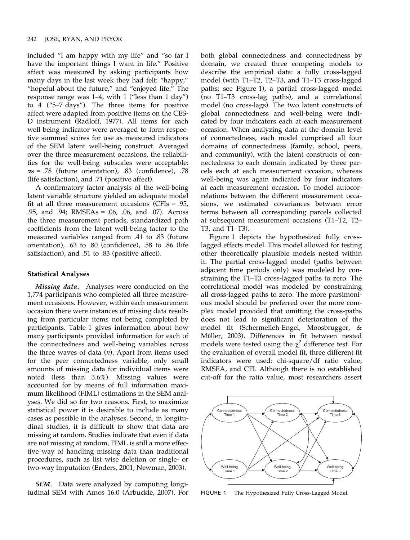included "I am happy with my life" and "so far I have the important things I want in life." Positive affect was measured by asking participants how many days in the last week they had felt: "happy," "hopeful about the future," and "enjoyed life." The response range was 1–4, with 1 ("less than 1 day") to 4 ("5–7 days"). The three items for positive affect were adapted from positive items on the CES-D instrument (Radloff, 1977). All items for each well-being indicator were averaged to form respective summed scores for use as measured indicators of the SEM latent well-being construct. Averaged over the three measurement occasions, the reliabilities for the well-being subscales were acceptable:  $\alpha s = .78$  (future orientation), .83 (confidence), .78 (life satisfaction), and .71 (positive affect).

A confirmatory factor analysis of the well-being latent variable structure yielded an adequate model fit at all three measurement occasions (CFIs = .95, .95, and .94; RMSEAs = .06, .06, and .07). Across the three measurement periods, standardized path coefficients from the latent well-being factor to the measured variables ranged from .41 to .83 (future orientation), .63 to .80 (confidence), .58 to .86 (life satisfaction), and .51 to .83 (positive affect).

#### Statistical Analyses

Missing data. Analyses were conducted on the 1,774 participants who completed all three measurement occasions. However, within each measurement occasion there were instances of missing data resulting from particular items not being completed by participants. Table 1 gives information about how many participants provided information for each of the connectedness and well-being variables across the three waves of data  $(n)$ . Apart from items used for the peer connectedness variable, only small amounts of missing data for individual items were noted (less than 3.6%). Missing values were accounted for by means of full information maximum likelihood (FIML) estimations in the SEM analyses. We did so for two reasons. First, to maximize statistical power it is desirable to include as many cases as possible in the analyses. Second, in longitudinal studies, it is difficult to show that data are missing at random. Studies indicate that even if data are not missing at random, FIML is still a more effective way of handling missing data than traditional procedures, such as list wise deletion or single- or two-way imputation (Enders, 2001; Newman, 2003).

SEM. Data were analyzed by computing longitudinal SEM with Amos 16.0 (Arbuckle, 2007). For both global connectedness and connectedness by domain, we created three competing models to describe the empirical data: a fully cross-lagged model (with T1–T2, T2–T3, and T1–T3 cross-lagged paths; see Figure 1), a partial cross-lagged model (no T1–T3 cross-lag paths), and a correlational model (no cross-lags). The two latent constructs of global connectedness and well-being were indicated by four indicators each at each measurement occasion. When analyzing data at the domain level of connectedness, each model comprised all four domains of connectedness (family, school, peers, and community), with the latent constructs of connectedness to each domain indicated by three parcels each at each measurement occasion, whereas well-being was again indicated by four indicators at each measurement occasion. To model autocorrelations between the different measurement occasions, we estimated covariances between error terms between all corresponding parcels collected at subsequent measurement occasions (T1–T2, T2– T3, and T1–T3).

Figure 1 depicts the hypothesized fully crosslagged effects model. This model allowed for testing other theoretically plausible models nested within it. The partial cross-lagged model (paths between adjacent time periods only) was modeled by constraining the T1–T3 cross-lagged paths to zero. The correlational model was modeled by constraining all cross-lagged paths to zero. The more parsimonious model should be preferred over the more complex model provided that omitting the cross-paths does not lead to significant deterioration of the model fit (Schermelleh-Engel, Moosbrugger, & Mϋller, 2003). Differences in fit between nested models were tested using the  $\chi^2$  difference test. For the evaluation of overall model fit, three different fit indicators were used: chi-square/df ratio value, RMSEA, and CFI. Although there is no established cut-off for the ratio value, most researchers assert



FIGURE 1 The Hypothesized Fully Cross-Lagged Model.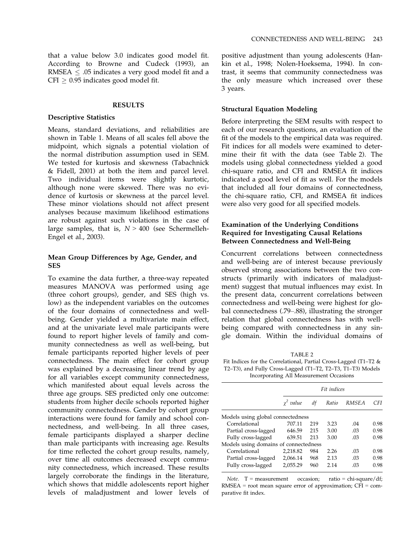that a value below 3.0 indicates good model fit. According to Browne and Cudeck (1993), an RMSEA  $\leq$  .05 indicates a very good model fit and a  $CFI \geq 0.95$  indicates good model fit.

#### RESULTS

### Descriptive Statistics

Means, standard deviations, and reliabilities are shown in Table 1. Means of all scales fell above the midpoint, which signals a potential violation of the normal distribution assumption used in SEM. We tested for kurtosis and skewness (Tabachnick & Fidell, 2001) at both the item and parcel level. Two individual items were slightly kurtotic, although none were skewed. There was no evidence of kurtosis or skewness at the parcel level. These minor violations should not affect present analyses because maximum likelihood estimations are robust against such violations in the case of large samples, that is,  $N > 400$  (see Schermelleh-Engel et al., 2003).

## Mean Group Differences by Age, Gender, and SES

To examine the data further, a three-way repeated measures MANOVA was performed using age (three cohort groups), gender, and SES (high vs. low) as the independent variables on the outcomes of the four domains of connectedness and wellbeing. Gender yielded a multivariate main effect, and at the univariate level male participants were found to report higher levels of family and community connectedness as well as well-being, but female participants reported higher levels of peer connectedness. The main effect for cohort group was explained by a decreasing linear trend by age for all variables except community connectedness, which manifested about equal levels across the three age groups. SES predicted only one outcome: students from higher decile schools reported higher community connectedness. Gender by cohort group interactions were found for family and school connectedness, and well-being. In all three cases, female participants displayed a sharper decline than male participants with increasing age. Results for time reflected the cohort group results, namely, over time all outcomes decreased except community connectedness, which increased. These results largely corroborate the findings in the literature, which shows that middle adolescents report higher levels of maladjustment and lower levels of positive adjustment than young adolescents (Hankin et al., 1998; Nolen-Hoeksema, 1994). In contrast, it seems that community connectedness was the only measure which increased over these 3 years.

#### Structural Equation Modeling

Before interpreting the SEM results with respect to each of our research questions, an evaluation of the fit of the models to the empirical data was required. Fit indices for all models were examined to determine their fit with the data (see Table 2). The models using global connectedness yielded a good chi-square ratio, and CFI and RMSEA fit indices indicated a good level of fit as well. For the models that included all four domains of connectedness, the chi-square ratio, CFI, and RMSEA fit indices were also very good for all specified models.

# Examination of the Underlying Conditions Required for Investigating Causal Relations Between Connectedness and Well-Being

Concurrent correlations between connectedness and well-being are of interest because previously observed strong associations between the two constructs (primarily with indicators of maladjustment) suggest that mutual influences may exist. In the present data, concurrent correlations between connectedness and well-being were highest for global connectedness (.79–.88), illustrating the stronger relation that global connectedness has with wellbeing compared with connectedness in any single domain. Within the individual domains of

TABLE 2 Fit Indices for the Correlational, Partial Cross-Lagged (T1–T2 & T2–T3), and Fully Cross-Lagged (T1–T2, T2–T3, T1–T3) Models Incorporating All Measurement Occasions

|                                       | Fit indices    |     |       |       |      |
|---------------------------------------|----------------|-----|-------|-------|------|
|                                       | $\chi^2$ value | df  | Ratio | RMSEA | CFI  |
| Models using global connectedness     |                |     |       |       |      |
| Correlational                         | 707.11         | 219 | 3.23  | .04   | 0.98 |
| Partial cross-lagged                  | 646.59         | 215 | 3.00  | .03   | 0.98 |
| Fully cross-lagged                    | 639.51         | 213 | 3.00  | .03   | 0.98 |
| Models using domains of connectedness |                |     |       |       |      |
| Correlational                         | 2.218.82       | 984 | 2.26  | .03   | 0.98 |
| Partial cross-lagged                  | 2.066.14       | 968 | 2.13  | .03   | 0.98 |
| Fully cross-lagged                    | 2,055.29       | 960 | 2.14  | .03   | 0.98 |

Note.  $T = measurement$  occasion; ratio = chi-square/df;  $RMSEA$  = root mean square error of approximation;  $CFI = com$ parative fit index.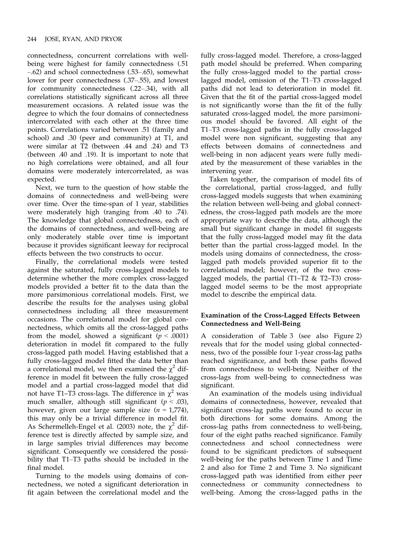connectedness, concurrent correlations with wellbeing were highest for family connectedness (.51 –.62) and school connectedness (.53–.65), somewhat lower for peer connectedness (.37–.55), and lowest for community connectedness (.22–.34), with all correlations statistically significant across all three measurement occasions. A related issue was the degree to which the four domains of connectedness intercorrelated with each other at the three time points. Correlations varied between .51 (family and school) and .30 (peer and community) at T1, and were similar at T2 (between .44 and .24) and T3 (between .40 and .19). It is important to note that no high correlations were obtained, and all four domains were moderately intercorrelated, as was expected.

Next, we turn to the question of how stable the domains of connectedness and well-being were over time. Over the time-span of 1 year, stabilities were moderately high (ranging from .40 to .74). The knowledge that global connectedness, each of the domains of connectedness, and well-being are only moderately stable over time is important because it provides significant leeway for reciprocal effects between the two constructs to occur.

Finally, the correlational models were tested against the saturated, fully cross-lagged models to determine whether the more complex cross-lagged models provided a better fit to the data than the more parsimonious correlational models. First, we describe the results for the analyses using global connectedness including all three measurement occasions. The correlational model for global connectedness, which omits all the cross-lagged paths from the model, showed a significant ( $p < .0001$ ) deterioration in model fit compared to the fully cross-lagged path model. Having established that a fully cross-lagged model fitted the data better than a correlational model, we then examined the  $\chi^2$  difference in model fit between the fully cross-lagged model and a partial cross-lagged model that did not have T1–T3 cross-lags. The difference in  $\chi^2$  was much smaller, although still significant  $(p < .03)$ , however, given our large sample size  $(n = 1.774)$ , this may only be a trivial difference in model fit. As Schermelleh-Engel et al. (2003) note, the  $\chi^2$  difference test is directly affected by sample size, and in large samples trivial differences may become significant. Consequently we considered the possibility that T1–T3 paths should be included in the final model.

Turning to the models using domains of connectedness, we noted a significant deterioration in fit again between the correlational model and the fully cross-lagged model. Therefore, a cross-lagged path model should be preferred. When comparing the fully cross-lagged model to the partial crosslagged model, omission of the T1–T3 cross-lagged paths did not lead to deterioration in model fit. Given that the fit of the partial cross-lagged model is not significantly worse than the fit of the fully saturated cross-lagged model, the more parsimonious model should be favored. All eight of the T1–T3 cross-lagged paths in the fully cross-lagged model were non significant, suggesting that any effects between domains of connectedness and well-being in non adjacent years were fully mediated by the measurement of these variables in the intervening year.

Taken together, the comparison of model fits of the correlational, partial cross-lagged, and fully cross-lagged models suggests that when examining the relation between well-being and global connectedness, the cross-lagged path models are the more appropriate way to describe the data, although the small but significant change in model fit suggests that the fully cross-lagged model may fit the data better than the partial cross-lagged model. In the models using domains of connectedness, the crosslagged path models provided superior fit to the correlational model; however, of the two crosslagged models, the partial (T1–T2 & T2–T3) crosslagged model seems to be the most appropriate model to describe the empirical data.

## Examination of the Cross-Lagged Effects Between Connectedness and Well-Being

A consideration of Table 3 (see also Figure 2) reveals that for the model using global connectedness, two of the possible four 1-year cross-lag paths reached significance, and both these paths flowed from connectedness to well-being. Neither of the cross-lags from well-being to connectedness was significant.

An examination of the models using individual domains of connectedness, however, revealed that significant cross-lag paths were found to occur in both directions for some domains. Among the cross-lag paths from connectedness to well-being, four of the eight paths reached significance. Family connectedness and school connectedness were found to be significant predictors of subsequent well-being for the paths between Time 1 and Time 2 and also for Time 2 and Time 3. No significant cross-lagged path was identified from either peer connectedness or community connectedness to well-being. Among the cross-lagged paths in the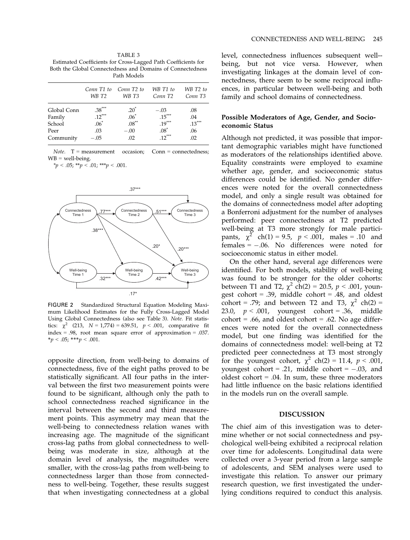TABLE 3 Estimated Coefficients for Cross-Lagged Path Coefficients for Both the Global Connectedness and Domains of Connectedness Path Models

|                                                      | WB T <sub>2</sub>                               | Conn T1 to Conn T2 to<br>WB T <sub>3</sub>      | WB T1 to<br>Conn T <sub>2</sub>                      | WB T <sub>2</sub> to<br>Conn T <sub>3</sub> |
|------------------------------------------------------|-------------------------------------------------|-------------------------------------------------|------------------------------------------------------|---------------------------------------------|
| Global Conn<br>Family<br>School<br>Peer<br>Community | $.38***$<br>$.12***$<br>$.06*$<br>.03<br>$-.05$ | $.20^*$<br>$.06^*$<br>$.08***$<br>$-.00$<br>.02 | $-.03$<br>$.15***$<br>$.19***$<br>$.08^*$<br>$12***$ | .08<br>.04<br>$.13***$<br>.06<br>.02        |

 $Note. T = measurement$  occasion;  $Conn = connectedness;$  $WB =$  well-being.

 $*_{p} < .05; **_{p} < .01; **_{p} < .001.$ 



FIGURE 2 Standardized Structural Equation Modeling Maximum Likelihood Estimates for the Fully Cross-Lagged Model Using Global Connectedness (also see Table 3). Note. Fit statistics:  $\chi^2$  (213,  $N = 1,774$ ) = 639.51,  $p < .001$ , comparative fit index = .98, root mean square error of approximation = .037.  $**p* < .05; ***p* < .001.$ 

opposite direction, from well-being to domains of connectedness, five of the eight paths proved to be statistically significant. All four paths in the interval between the first two measurement points were found to be significant, although only the path to school connectedness reached significance in the interval between the second and third measurement points. This asymmetry may mean that the well-being to connectedness relation wanes with increasing age. The magnitude of the significant cross-lag paths from global connectedness to wellbeing was moderate in size, although at the domain level of analysis, the magnitudes were smaller, with the cross-lag paths from well-being to connectedness larger than those from connectedness to well-being. Together, these results suggest that when investigating connectedness at a global level, connectedness influences subsequent well- being, but not vice versa. However, when investigating linkages at the domain level of connectedness, there seem to be some reciprocal influences, in particular between well-being and both family and school domains of connectedness.

# Possible Moderators of Age, Gender, and Socioeconomic Status

Although not predicted, it was possible that important demographic variables might have functioned as moderators of the relationships identified above. Equality constraints were employed to examine whether age, gender, and socioeconomic status differences could be identified. No gender differences were noted for the overall connectedness model, and only a single result was obtained for the domains of connectedness model after adopting a Bonferroni adjustment for the number of analyses performed: peer connectedness at T2 predicted well-being at T3 more strongly for male participants,  $\chi^2$  ch(1) = 9.5,  $p < .001$ , males = .10 and  $f$ emales =  $-.06$ . No differences were noted for socioeconomic status in either model.

On the other hand, several age differences were identified. For both models, stability of well-being was found to be stronger for the older cohorts: between T1 and T2,  $\chi^2$  ch(2) = 20.5,  $p < .001$ , youngest cohort = .39, middle cohort = .48, and oldest cohort = .79; and between T2 and T3,  $\chi^2$  ch(2) = 23.0,  $p < .001$ , youngest cohort = .36, middle  $\text{cohort} = .66$ , and oldest  $\text{cohort} = .62$ . No age differences were noted for the overall connectedness model, but one finding was identified for the domains of connectedness model: well-being at T2 predicted peer connectedness at T3 most strongly for the youngest cohort,  $\chi^2$  ch(2) = 11.4,  $p < .001$ , youngest cohort = .21, middle cohort =  $-.03$ , and oldest cohort  $= .04$ . In sum, these three moderators had little influence on the basic relations identified in the models run on the overall sample.

#### DISCUSSION

The chief aim of this investigation was to determine whether or not social connectedness and psychological well-being exhibited a reciprocal relation over time for adolescents. Longitudinal data were collected over a 3-year period from a large sample of adolescents, and SEM analyses were used to investigate this relation. To answer our primary research question, we first investigated the underlying conditions required to conduct this analysis.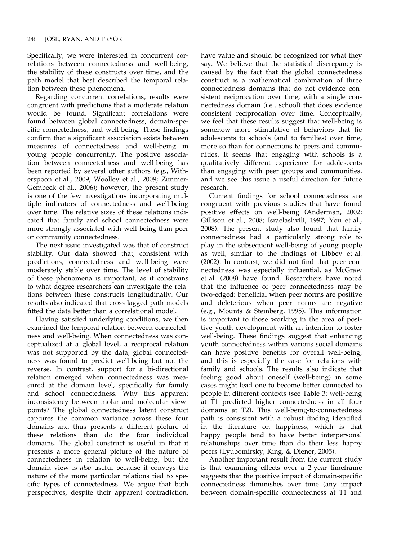Specifically, we were interested in concurrent correlations between connectedness and well-being, the stability of these constructs over time, and the path model that best described the temporal relation between these phenomena.

Regarding concurrent correlations, results were congruent with predictions that a moderate relation would be found. Significant correlations were found between global connectedness, domain-specific connectedness, and well-being. These findings confirm that a significant association exists between measures of connectedness and well-being in young people concurrently. The positive association between connectedness and well-being has been reported by several other authors (e.g., Witherspoon et al., 2009; Woolley et al., 2009; Zimmer-Gembeck et al., 2006); however, the present study is one of the few investigations incorporating multiple indicators of connectedness and well-being over time. The relative sizes of these relations indicated that family and school connectedness were more strongly associated with well-being than peer or community connectedness.

The next issue investigated was that of construct stability. Our data showed that, consistent with predictions, connectedness and well-being were moderately stable over time. The level of stability of these phenomena is important, as it constrains to what degree researchers can investigate the relations between these constructs longitudinally. Our results also indicated that cross-lagged path models fitted the data better than a correlational model.

Having satisfied underlying conditions, we then examined the temporal relation between connectedness and well-being. When connectedness was conceptualized at a global level, a reciprocal relation was not supported by the data; global connectedness was found to predict well-being but not the reverse. In contrast, support for a bi-directional relation emerged when connectedness was measured at the domain level, specifically for family and school connectedness. Why this apparent inconsistency between molar and molecular viewpoints? The global connectedness latent construct captures the common variance across these four domains and thus presents a different picture of these relations than do the four individual domains. The global construct is useful in that it presents a more general picture of the nature of connectedness in relation to well-being, but the domain view is also useful because it conveys the nature of the more particular relations tied to specific types of connectedness. We argue that both perspectives, despite their apparent contradiction,

have value and should be recognized for what they say. We believe that the statistical discrepancy is caused by the fact that the global connectedness construct is a mathematical combination of three connectedness domains that do not evidence consistent reciprocation over time, with a single connectedness domain (i.e., school) that does evidence consistent reciprocation over time. Conceptually, we feel that these results suggest that well-being is somehow more stimulative of behaviors that tie adolescents to schools (and to families) over time, more so than for connections to peers and communities. It seems that engaging with schools is a qualitatively different experience for adolescents than engaging with peer groups and communities, and we see this issue a useful direction for future research.

Current findings for school connectedness are congruent with previous studies that have found positive effects on well-being (Anderman, 2002; Gillison et al., 2008; Israelashvili, 1997; You et al., 2008). The present study also found that family connectedness had a particularly strong role to play in the subsequent well-being of young people as well, similar to the findings of Libbey et al. (2002). In contrast, we did not find that peer connectedness was especially influential, as McGraw et al. (2008) have found. Researchers have noted that the influence of peer connectedness may be two-edged: beneficial when peer norms are positive and deleterious when peer norms are negative (e.g., Mounts & Steinberg, 1995). This information is important to those working in the area of positive youth development with an intention to foster well-being. These findings suggest that enhancing youth connectedness within various social domains can have positive benefits for overall well-being, and this is especially the case for relations with family and schools. The results also indicate that feeling good about oneself (well-being) in some cases might lead one to become better connected to people in different contexts (see Table 3: well-being at T1 predicted higher connectedness in all four domains at T2). This well-being-to-connectedness path is consistent with a robust finding identified in the literature on happiness, which is that happy people tend to have better interpersonal relationships over time than do their less happy peers (Lyubomirsky, King, & Diener, 2005).

Another important result from the current study is that examining effects over a 2-year timeframe suggests that the positive impact of domain-specific connectedness diminishes over time (any impact between domain-specific connectedness at T1 and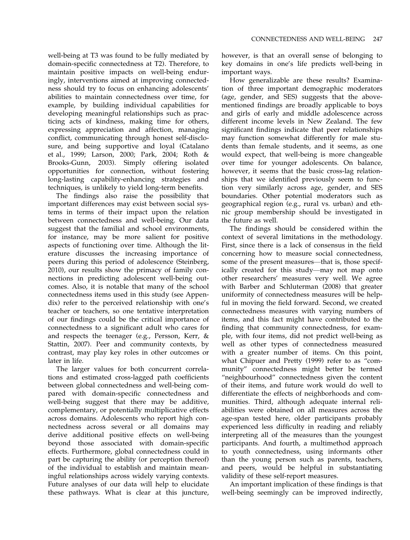well-being at T3 was found to be fully mediated by domain-specific connectedness at T2). Therefore, to maintain positive impacts on well-being enduringly, interventions aimed at improving connectedness should try to focus on enhancing adolescents' abilities to maintain connectedness over time, for example, by building individual capabilities for developing meaningful relationships such as practicing acts of kindness, making time for others, expressing appreciation and affection, managing conflict, communicating through honest self-disclosure, and being supportive and loyal (Catalano et al., 1999; Larson, 2000; Park, 2004; Roth & Brooks-Gunn, 2003). Simply offering isolated opportunities for connection, without fostering long-lasting capability-enhancing strategies and techniques, is unlikely to yield long-term benefits.

The findings also raise the possibility that important differences may exist between social systems in terms of their impact upon the relation between connectedness and well-being. Our data suggest that the familial and school environments, for instance, may be more salient for positive aspects of functioning over time. Although the literature discusses the increasing importance of peers during this period of adolescence (Steinberg, 2010), our results show the primacy of family connections in predicting adolescent well-being outcomes. Also, it is notable that many of the school connectedness items used in this study (see Appendix) refer to the perceived relationship with one's teacher or teachers, so one tentative interpretation of our findings could be the critical importance of connectedness to a significant adult who cares for and respects the teenager (e.g., Persson, Kerr, & Stattin, 2007). Peer and community contexts, by contrast, may play key roles in other outcomes or later in life.

The larger values for both concurrent correlations and estimated cross-lagged path coefficients between global connectedness and well-being compared with domain-specific connectedness and well-being suggest that there may be additive, complementary, or potentially multiplicative effects across domains. Adolescents who report high connectedness across several or all domains may derive additional positive effects on well-being beyond those associated with domain-specific effects. Furthermore, global connectedness could in part be capturing the ability (or perception thereof) of the individual to establish and maintain meaningful relationships across widely varying contexts. Future analyses of our data will help to elucidate these pathways. What is clear at this juncture,

however, is that an overall sense of belonging to key domains in one's life predicts well-being in important ways.

How generalizable are these results? Examination of three important demographic moderators (age, gender, and SES) suggests that the abovementioned findings are broadly applicable to boys and girls of early and middle adolescence across different income levels in New Zealand. The few significant findings indicate that peer relationships may function somewhat differently for male students than female students, and it seems, as one would expect, that well-being is more changeable over time for younger adolescents. On balance, however, it seems that the basic cross-lag relationships that we identified previously seem to function very similarly across age, gender, and SES boundaries. Other potential moderators such as geographical region (e.g., rural vs. urban) and ethnic group membership should be investigated in the future as well.

The findings should be considered within the context of several limitations in the methodology. First, since there is a lack of consensus in the field concerning how to measure social connectedness, some of the present measures—that is, those specifically created for this study—may not map onto other researchers' measures very well. We agree with Barber and Schluterman (2008) that greater uniformity of connectedness measures will be helpful in moving the field forward. Second, we created connectedness measures with varying numbers of items, and this fact might have contributed to the finding that community connectedness, for example, with four items, did not predict well-being as well as other types of connectedness measured with a greater number of items. On this point, what Chipuer and Pretty (1999) refer to as "community" connectedness might better be termed "neighbourhood" connectedness given the content of their items, and future work would do well to differentiate the effects of neighborhoods and communities. Third, although adequate internal reliabilities were obtained on all measures across the age-span tested here, older participants probably experienced less difficulty in reading and reliably interpreting all of the measures than the youngest participants. And fourth, a multimethod approach to youth connectedness, using informants other than the young person such as parents, teachers, and peers, would be helpful in substantiating validity of these self-report measures.

An important implication of these findings is that well-being seemingly can be improved indirectly,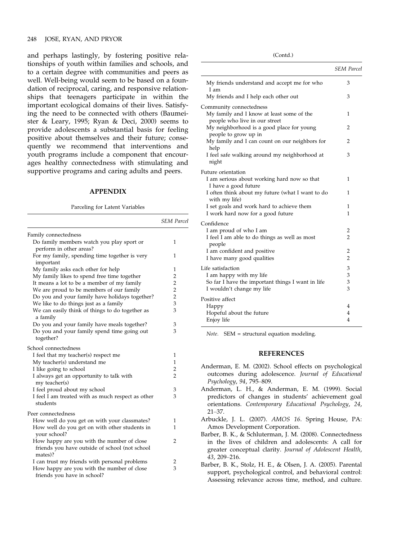#### 248 JOSE, RYAN, AND PRYOR

and perhaps lastingly, by fostering positive relationships of youth within families and schools, and to a certain degree with communities and peers as well. Well-being would seem to be based on a foundation of reciprocal, caring, and responsive relationships that teenagers participate in within the important ecological domains of their lives. Satisfying the need to be connected with others (Baumeister & Leary, 1995; Ryan & Deci, 2000) seems to provide adolescents a substantial basis for feeling positive about themselves and their future; consequently we recommend that interventions and youth programs include a component that encourages healthy connectedness with stimulating and supportive programs and caring adults and peers.

## APPENDIX

#### Parceling for Latent Variables

|                                                                                                         | <b>SEM Parcel</b> |
|---------------------------------------------------------------------------------------------------------|-------------------|
| Family connectedness                                                                                    |                   |
| Do family members watch you play sport or<br>perform in other areas?                                    | 1                 |
| For my family, spending time together is very<br>important                                              | 1                 |
| My family asks each other for help                                                                      | 1                 |
| My family likes to spend free time together                                                             | $\overline{c}$    |
| It means a lot to be a member of my family                                                              | $\overline{c}$    |
| We are proud to be members of our family                                                                | $\overline{c}$    |
| Do you and your family have holidays together?                                                          | $\overline{c}$    |
| We like to do things just as a family                                                                   | 3                 |
| We can easily think of things to do together as<br>a family                                             | 3                 |
| Do you and your family have meals together?                                                             | 3                 |
| Do you and your family spend time going out<br>together?                                                | 3                 |
| School connectedness                                                                                    |                   |
| I feel that my teacher(s) respect me                                                                    | 1                 |
| My teacher(s) understand me                                                                             | 1                 |
| I like going to school                                                                                  | 2                 |
| I always get an opportunity to talk with<br>my teacher(s)                                               | $\overline{2}$    |
| I feel proud about my school                                                                            | 3                 |
| I feel I am treated with as much respect as other<br>students                                           | 3                 |
| Peer connectedness                                                                                      |                   |
| How well do you get on with your classmates?                                                            | 1                 |
| How well do you get on with other students in<br>your school?                                           | 1                 |
| How happy are you with the number of close<br>friends you have outside of school (not school<br>mates)? | 2                 |
| I can trust my friends with personal problems                                                           | 2                 |
| How happy are you with the number of close<br>friends you have in school?                               | 3                 |

(Contd.)

|                                                                                                                                | <b>SEM Parcel</b>   |
|--------------------------------------------------------------------------------------------------------------------------------|---------------------|
| My friends understand and accept me for who<br>I am                                                                            | 3                   |
| My friends and I help each other out                                                                                           | 3                   |
| Community connectedness<br>My family and I know at least some of the<br>people who live in our street                          | 1                   |
| My neighborhood is a good place for young<br>people to grow up in                                                              | 2                   |
| My family and I can count on our neighbors for<br>help                                                                         | 2                   |
| I feel safe walking around my neighborhood at<br>night                                                                         | 3                   |
| Future orientation<br>I am serious about working hard now so that<br>I have a good future                                      | 1                   |
| I often think about my future (what I want to do<br>with my life)                                                              | 1                   |
| I set goals and work hard to achieve them<br>I work hard now for a good future                                                 | 1<br>1              |
| Confidence<br>I am proud of who I am<br>I feel I am able to do things as well as most                                          | 2<br>$\overline{2}$ |
| people<br>I am confident and positive<br>I have many good qualities                                                            | 2<br>$\overline{2}$ |
| Life satisfaction<br>I am happy with my life<br>So far I have the important things I want in life<br>I wouldn't change my life | 3<br>3<br>3<br>3    |
| Positive affect<br>Happy<br>Hopeful about the future<br>Enjoy life                                                             | 4<br>4<br>4         |

Note. SEM = structural equation modeling.

#### REFERENCES

- Anderman, E. M. (2002). School effects on psychological outcomes during adolescence. Journal of Educational Psychology, 94, 795–809.
- Anderman, L. H., & Anderman, E. M. (1999). Social predictors of changes in students' achievement goal orientations. Contemporary Educational Psychology, 24, 21–37.
- Arbuckle, J. L. (2007). AMOS 16. Spring House, PA: Amos Development Corporation.
- Barber, B. K., & Schluterman, J. M. (2008). Connectedness in the lives of children and adolescents: A call for greater conceptual clarity. Journal of Adolescent Health, 43, 209–216.
- Barber, B. K., Stolz, H. E., & Olsen, J. A. (2005). Parental support, psychological control, and behavioral control: Assessing relevance across time, method, and culture.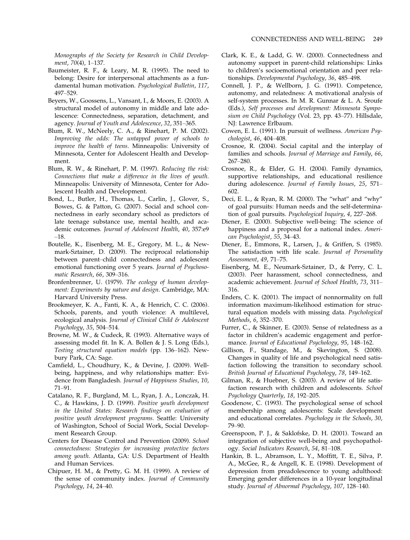Monographs of the Society for Research in Child Development, 70(4), 1–137.

- Baumeister, R. F., & Leary, M. R. (1995). The need to belong: Desire for interpersonal attachments as a fundamental human motivation. Psychological Bulletin, 117, 497–529.
- Beyers, W., Goossens, L., Vansant, I., & Moors, E. (2003). A structural model of autonomy in middle and late adolescence: Connectedness, separation, detachment, and agency. Journal of Youth and Adolescence, 32, 351–365.
- Blum, R. W., McNeely, C. A., & Rinehart, P. M. (2002). Improving the odds: The untapped power of schools to improve the health of teens. Minneapolis: University of Minnesota, Center for Adolescent Health and Development.
- Blum, R. W., & Rinehart, P. M. (1997). Reducing the risk: Connections that make a difference in the lives of youth. Minneapolis: University of Minnesota, Center for Adolescent Health and Development.
- Bond, L., Butler, H., Thomas, L., Carlin, J., Glover, S., Bowes, G. & Patton, G. (2007). Social and school connectedness in early secondary school as predictors of late teenage substance use, mental health, and academic outcomes. Journal of Adolescent Health, 40, 357:e9 –18.
- Boutelle, K., Eisenberg, M. E., Gregory, M. L., & Newmark-Sztainer, D. (2009). The reciprocal relationship between parent–child connectedness and adolescent emotional functioning over 5 years. Journal of Psychosomatic Research, 66, 309–316.
- Bronfenbrenner, U. (1979). The ecology of human development: Experiments by nature and design. Cambridge, MA: Harvard University Press.
- Brookmeyer, K. A., Fanti, K. A., & Henrich, C. C. (2006). Schools, parents, and youth violence: A multilevel, ecological analysis. Journal of Clinical Child  $\mathcal E$  Adolescent Psychology, 35, 504–514.
- Browne, M. W., & Cudeck, R. (1993). Alternative ways of assessing model fit. In K. A. Bollen & J. S. Long (Eds.), Testing structural equation models (pp. 136–162). Newbury Park, CA: Sage.
- Camfield, L., Choudhury, K., & Devine, J. (2009). Wellbeing, happiness, and why relationships matter: Evidence from Bangladesh. Journal of Happiness Studies, 10, 71–91.
- Catalano, R. F., Burgland, M. L., Ryan, J. A., Lonczak, H. C., & Hawkins, J. D. (1999). Positive youth development in the United States: Research findings on evaluation of positive youth development programs. Seattle: University of Washington, School of Social Work, Social Development Research Group.
- Centers for Disease Control and Prevention (2009). School connectedness: Strategies for increasing protective factors among youth. Atlanta, GA: U.S. Department of Health and Human Services.
- Chipuer, H. M., & Pretty, G. M. H. (1999). A review of the sense of community index. Journal of Community Psychology, 14, 24–40.
- Clark, K. E., & Ladd, G. W. (2000). Connectedness and autonomy support in parent-child relationships: Links to children's socioemotional orientation and peer relationships. Developmental Psychology, 36, 485–498.
- Connell, J. P., & Wellborn, J. G. (1991). Competence, autonomy, and relatedness: A motivational analysis of self-system processes. In M. R. Gunnar & L. A. Sroufe (Eds.), Self processes and development: Minnesota Symposium on Child Psychology (Vol. 23, pp. 43–77). Hillsdale, NJ: Lawrence Erlbaum.
- Cowen, E. L. (1991). In pursuit of wellness. American Psychologist, 46, 404–408.
- Crosnoe, R. (2004). Social capital and the interplay of families and schools. Journal of Marriage and Family, 66, 267–280.
- Crosnoe, R., & Elder, G. H. (2004). Family dynamics, supportive relationships, and educational resilience during adolescence. Journal of Family Issues, 25, 571– 602.
- Deci, E. L., & Ryan, R. M. (2000). The "what" and "why" of goal pursuits: Human needs and the self-determination of goal pursuits. Psychological Inquiry, 4, 227–268.
- Diener, E. (2000). Subjective well-being: The science of happiness and a proposal for a national index. American Psychologist, 55, 34–43.
- Diener, E., Emmons, R., Larsen, J., & Griffen, S. (1985). The satisfaction with life scale. Journal of Personality Assessment, 49, 71–75.
- Eisenberg, M. E., Neumark-Sztainer, D., & Perry, C. L. (2003). Peer harassment, school connectedness, and academic achievement. Journal of School Health, 73, 311– 316.
- Enders, C. K. (2001). The impact of nonnormality on full information maximum-likelihood estimation for structural equation models with missing data. Psychological Methods, 6, 352–370.
- Furrer, C., & Skinner, E. (2003). Sense of relatedness as a factor in children's academic engagement and performance. Journal of Educational Psychology, 95, 148–162.
- Gillison, F., Standage, M., & Skevington, S. (2008). Changes in quality of life and psychological need satisfaction following the transition to secondary school. British Journal of Educational Psychology, 78, 149–162.
- Gilman, R., & Huebner, S. (2003). A review of life satisfaction research with children and adolescents. School Psychology Quarterly, 18, 192–205.
- Goodenow, C. (1993). The psychological sense of school membership among adolescents: Scale development and educational correlates. Psychology in the Schools, 30, 79–90.
- Greenspoon, P. J., & Saklofske, D. H. (2001). Toward an integration of subjective well-being and psychopathology. Social Indicators Research, 54, 81–108.
- Hankin, B. L., Abramson, L. Y., Moffitt, T. E., Silva, P. A., McGee, R., & Angell, K. E. (1998). Development of depression from preadolescence to young adulthood: Emerging gender differences in a 10-year longitudinal study. Journal of Abnormal Psychology, 107, 128–140.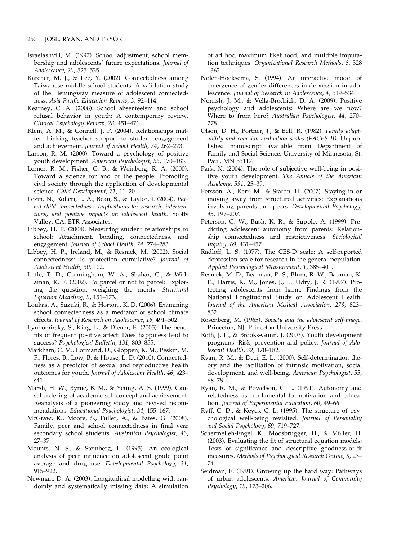- Israelashvili, M. (1997). School adjustment, school membership and adolescents' future expectations. Journal of Adolescence, 20, 525–535.
- Karcher, M. J., & Lee, Y. (2002). Connectedness among Taiwanese middle school students: A validation study of the Hemingway measure of adolescent connectedness. Asia Pacific Education Review, 3, 92–114.
- Kearney, C. A. (2008). School absenteeism and school refusal behavior in youth: A contemporary review. Clinical Psychology Review, 28, 451–471.
- Klem, A. M., & Connell, J. P. (2004). Relationships matter: Linking teacher support to student engagement and achievement. Journal of School Health, 74, 262–273.
- Larson, R. M. (2000). Toward a psychology of positive youth development. American Psychologist, 55, 170–183.
- Lerner, R. M., Fisher, C. B., & Weinberg, R. A. (2000). Toward a science for and of the people: Promoting civil society through the application of developmental science. Child Development, 71, 11–20.
- Lezin, N., Rolleri, L. A., Bean, S., & Taylor, J. (2004). Parent-child connectedness: Implications for research, interventions, and positive impacts on adolescent health. Scotts Valley, CA: ETR Associates.
- Libbey, H. P. (2004). Measuring student relationships to school: Attachment, bonding, connectedness, and engagement. Journal of School Health, 74, 274–283.
- Libbey, H. P., Ireland, M., & Resnick, M. (2002). Social connectedness: Is protection cumulative? Journal of Adolescent Health, 30, 102.
- Little, T. D., Cunningham, W. A., Shahar, G., & Widaman, K. F. (2002). To parcel or not to parcel: Exploring the question, weighing the merits. Structural Equation Modeling, 9, 151–173.
- Loukas, A., Suzuki, R., & Horton., K. D. (2006). Examining school connectedness as a mediator of school climate effects. Journal of Research on Adolescence, 16, 491–502.
- Lyubomirsky, S., King, L., & Diener, E. (2005). The benefits of frequent positive affect: Does happiness lead to success? Psychological Bulletin, 131, 803–855.
- Markham, C. M., Lormand, D., Gloppen, K. M., Peskin, M. F., Flores, B., Low, B. & House, L. D. (2010). Connectedness as a predictor of sexual and reproductive health outcomes for youth. Journal of Adolescent Health, 46, s23– s41.
- Marsh, H. W., Byrne, B. M., & Yeung, A. S. (1999). Causal ordering of academic self-concept and achievement: Reanalysis of a pioneering study and revised recommendations. Educational Psychologist, 34, 155–167.
- McGraw, K., Moore, S., Fuller, A., & Bates, G. (2008). Family, peer and school connectedness in final year secondary school students. Australian Psychologist, 43, 27–37.
- Mounts, N. S., & Steinberg, L. (1995). An ecological analysis of peer influence on adolescent grade point average and drug use. Developmental Psychology, 31, 915–922.
- Newman, D. A. (2003). Longitudinal modelling with randomly and systematically missing data: A simulation

of ad hoc, maximum likelihood, and multiple imputation techniques. Organizational Research Methods, 6, 328 –362.

- Nolen-Hoeksema, S. (1994). An interactive model of emergence of gender differences in depression in adolescence. Journal of Research in Adolescence, 4, 519–534.
- Norrish, J. M., & Vella-Brodrick, D. A. (2009). Positive psychology and adolescents: Where are we now? Where to from here? Australian Psychologist, 44, 270– 278.
- Olson, D. H., Portner, J., & Bell, R. (1982). Family adaptability and cohesion evaluation scales (FACES II). Unpublished manuscript available from Department of Family and Social Science, University of Minnesota, St. Paul, MN 55117.
- Park, N. (2004). The role of subjective well-being in positive youth development. The Annals of the American Academy, 591, 25–39.
- Persson, A., Kerr, M., & Stattin, H. (2007). Staying in or moving away from structured activities: Explanations involving parents and peers. Developmental Psychology, 43, 197–207.
- Peterson, G. W., Bush, K. R., & Supple, A. (1999). Predicting adolescent autonomy from parents: Relationship connectedness and restrictiveness. Sociological Inquiry, 69, 431–457.
- Radloff, L. S. (1977). The CES-D scale: A self-reported depression scale for research in the general population. Applied Psychological Measurement, 1, 385–401.
- Resnick, M. D., Bearman, P. S., Blum, R. W., Bauman, K. E., Harris, K. M., Jones, J., … Udry, J. R. (1997). Protecting adolescents from harm: Findings from the National Longitudinal Study on Adolescent Health. Journal of the American Medical Association, 278, 823– 832.
- Rosenberg, M. (1965). Society and the adolescent self-image. Princeton, NJ: Princeton University Press.
- Roth, J. L., & Brooks-Gunn, J. (2003). Youth development programs: Risk, prevention and policy. Journal of Adolescent Health, 32, 170–182.
- Ryan, R. M., & Deci, E. L. (2000). Self-determination theory and the facilitation of intrinsic motivation, social development, and well-being. American Psychologist, 55, 68–78.
- Ryan, R. M., & Powelson, C. L. (1991). Autonomy and relatedness as fundamental to motivation and education. Journal of Experimental Education, 60, 49–66.
- Ryff, C. D., & Keyes, C. L. (1995). The structure of psychological well-being revisited. Journal of Personality and Social Psychology, 69, 719–727.
- Schermelleh-Engel, K., Moosbrugger, H., & Mϋller, H. (2003). Evaluating the fit of structural equation models: Tests of significance and descriptive goodness-of-fit measures. Methods of Psychological Research Online, 8, 23– 74.
- Seidman, E. (1991). Growing up the hard way: Pathways of urban adolescents. American Journal of Community Psychology, 19, 173–206.